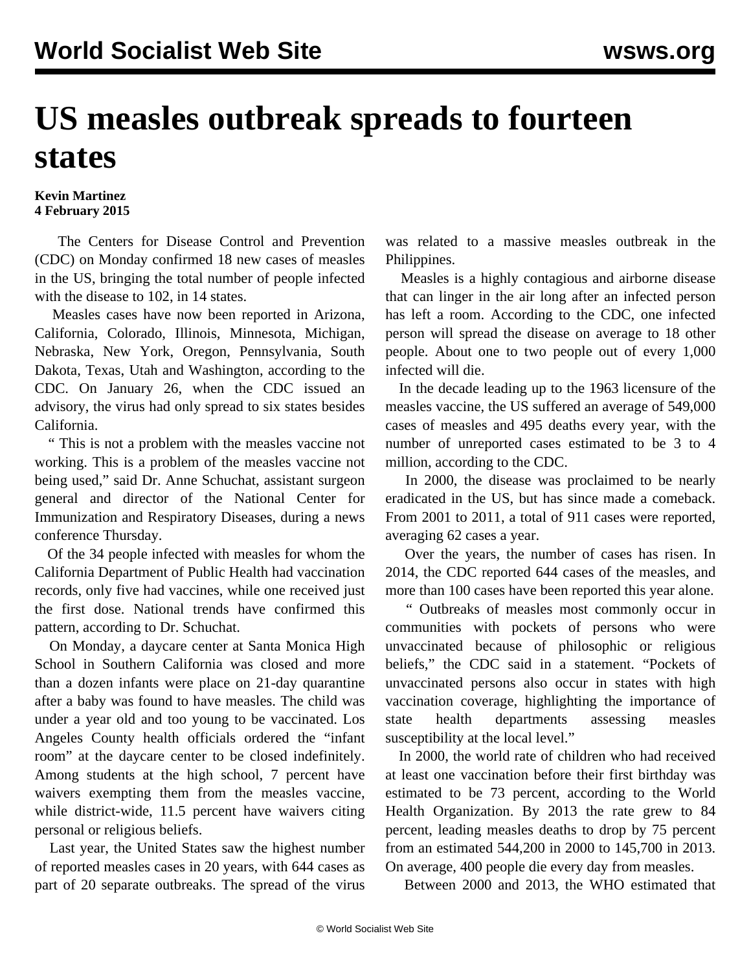## **US measles outbreak spreads to fourteen states**

## **Kevin Martinez 4 February 2015**

 The Centers for Disease Control and Prevention (CDC) on Monday confirmed 18 new cases of measles in the US, bringing the total number of people infected with the disease to 102, in 14 states.

 Measles cases have now been reported in Arizona, California, Colorado, Illinois, Minnesota, Michigan, Nebraska, New York, Oregon, Pennsylvania, South Dakota, Texas, Utah and Washington, according to the CDC. On January 26, when the CDC issued an advisory, the virus had only spread to six states besides California.

 " This is not a problem with the measles vaccine not working. This is a problem of the measles vaccine not being used," said Dr. Anne Schuchat, assistant surgeon general and director of the National Center for Immunization and Respiratory Diseases, during a news conference Thursday.

 Of the 34 people infected with measles for whom the California Department of Public Health had vaccination records, only five had vaccines, while one received just the first dose. National trends have confirmed this pattern, according to Dr. Schuchat.

 On Monday, a daycare center at Santa Monica High School in Southern California was closed and more than a dozen infants were place on 21-day quarantine after a baby was found to have measles. The child was under a year old and too young to be vaccinated. Los Angeles County health officials ordered the "infant room" at the daycare center to be closed indefinitely. Among students at the high school, 7 percent have waivers exempting them from the measles vaccine, while district-wide, 11.5 percent have waivers citing personal or religious beliefs.

 Last year, the United States saw the highest number of reported measles cases in 20 years, with 644 cases as part of 20 separate outbreaks. The spread of the virus

was related to a massive measles outbreak in the Philippines.

 Measles is a highly contagious and airborne disease that can linger in the air long after an infected person has left a room. According to the CDC, one infected person will spread the disease on average to 18 other people. About one to two people out of every 1,000 infected will die.

 In the decade leading up to the 1963 licensure of the measles vaccine, the US suffered an average of 549,000 cases of measles and 495 deaths every year, with the number of unreported cases estimated to be 3 to 4 million, according to the CDC.

 In 2000, the disease was proclaimed to be nearly eradicated in the US, but has since made a comeback. From 2001 to 2011, a total of 911 cases were reported, averaging 62 cases a year.

 Over the years, the number of cases has risen. In 2014, the CDC reported 644 cases of the measles, and more than 100 cases have been reported this year alone.

 " Outbreaks of measles most commonly occur in communities with pockets of persons who were unvaccinated because of philosophic or religious beliefs," the CDC said in a statement. "Pockets of unvaccinated persons also occur in states with high vaccination coverage, highlighting the importance of state health departments assessing measles susceptibility at the local level."

 In 2000, the world rate of children who had received at least one vaccination before their first birthday was estimated to be 73 percent, according to the World Health Organization. By 2013 the rate grew to 84 percent, leading measles deaths to drop by 75 percent from an estimated 544,200 in 2000 to 145,700 in 2013. On average, 400 people die every day from measles.

Between 2000 and 2013, the WHO estimated that